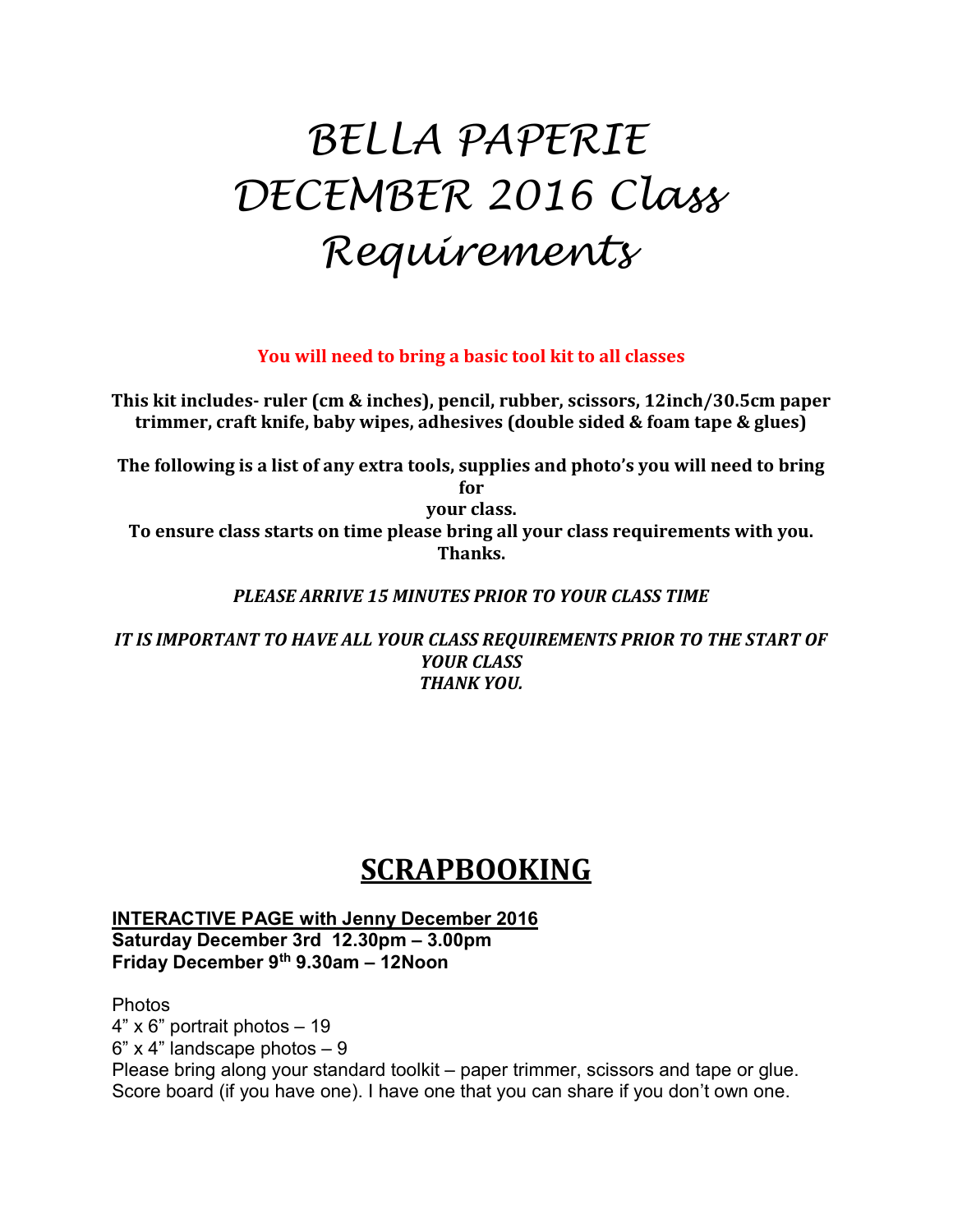# BELLA PAPERIE DECEMBER 2016 Class Requirements

You will need to bring a basic tool kit to all classes

This kit includes- ruler (cm & inches), pencil, rubber, scissors, 12inch/30.5cm paper trimmer, craft knife, baby wipes, adhesives (double sided & foam tape & glues)

The following is a list of any extra tools, supplies and photo's you will need to bring for

your class.

To ensure class starts on time please bring all your class requirements with you. Thanks.

### PLEASE ARRIVE 15 MINUTES PRIOR TO YOUR CLASS TIME

IT IS IMPORTANT TO HAVE ALL YOUR CLASS REQUIREMENTS PRIOR TO THE START OF YOUR CLASS THANK YOU.

## **SCRAPBOOKING**

INTERACTIVE PAGE with Jenny December 2016 Saturday December 3rd 12.30pm – 3.00pm Friday December 9th 9.30am – 12Noon

Photos

4" x 6" portrait photos – 19

 $6"$  x 4" landscape photos  $-9$ 

Please bring along your standard toolkit – paper trimmer, scissors and tape or glue. Score board (if you have one). I have one that you can share if you don't own one.